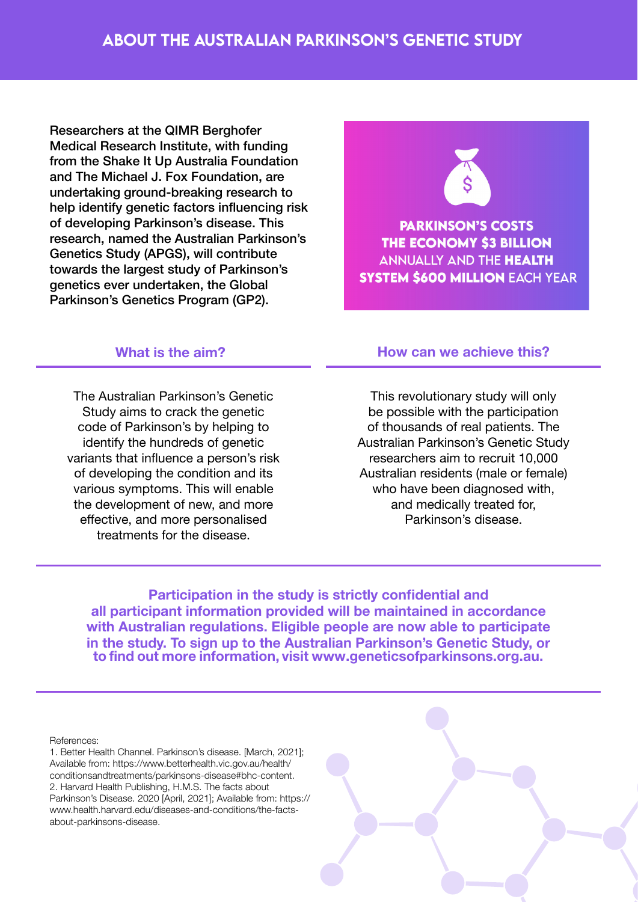Researchers at the QIMR Berghofer Medical Research Institute, with funding from the Shake It Up Australia Foundation and The Michael J. Fox Foundation, are undertaking ground-breaking research to help identify genetic factors influencing risk of developing Parkinson's disease. This research, named the Australian Parkinson's Genetics Study (APGS), will contribute towards the largest study of Parkinson's genetics ever undertaken, the Global Parkinson's Genetics Program (GP2).

## **PARKINSON'S COSTS** THE ECONOMY \$3 BILLION **ANNUALLY AND THE HEALTH SYSTEM \$600 MILLION EACH YEAR**

The Australian Parkinson's Genetic Study aims to crack the genetic code of Parkinson's by helping to identify the hundreds of genetic variants that influence a person's risk of developing the condition and its various symptoms. This will enable the development of new, and more effective, and more personalised treatments for the disease.

## **What is the aim? How can we achieve this?**

This revolutionary study will only be possible with the participation of thousands of real patients. The Australian Parkinson's Genetic Study researchers aim to recruit 10,000 Australian residents (male or female) who have been diagnosed with. and medically treated for, Parkinson's disease.

**Participation in the study is strictly confidential and all participant information provided will be maintained in accordance with Australian regulations. Eligible people are now able to participate in the study. To sign up to the Australian Parkinson's Genetic Study, or to find out more information, visit www.geneticsofparkinsons.org.au.**

References:

1. Better Health Channel. Parkinson's disease. [March, 2021]; Available from: https://www.betterhealth.vic.gov.au/health/ conditionsandtreatments/parkinsons-disease#bhc-content. 2. Harvard Health Publishing, H.M.S. The facts about Parkinson's Disease. 2020 [April, 2021]; Available from: https:// www.health.harvard.edu/diseases-and-conditions/the-factsabout-parkinsons-disease.